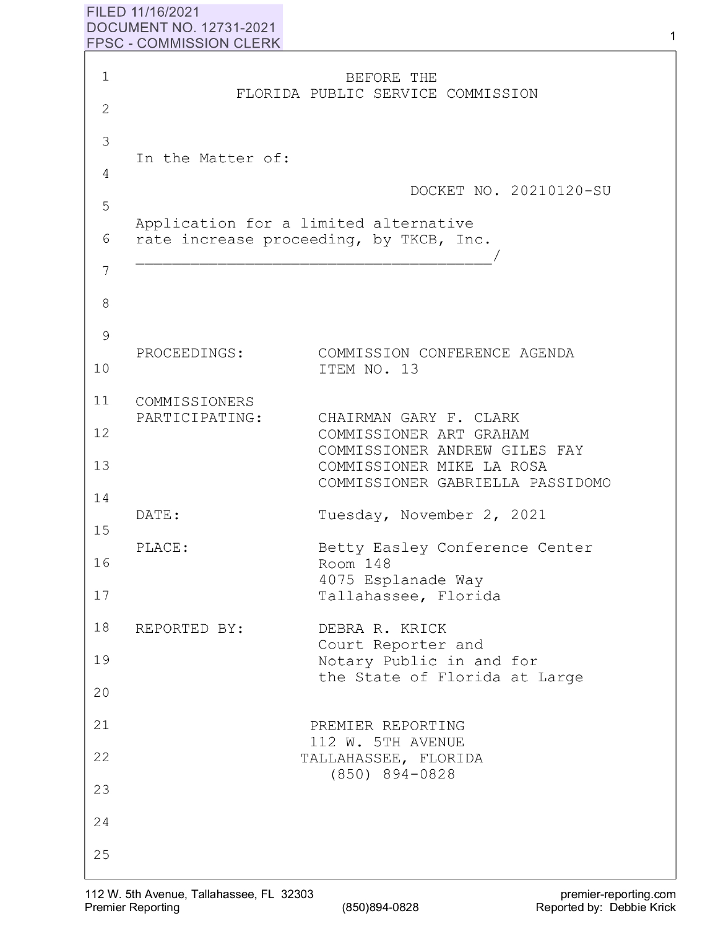## **FILED 11/16/2021 DOCUMENT NO. 12731-2021 FPSC** - **COMMISSION CLERK**

| $1\,$               |                                                                                  | BEFORE THE<br>FLORIDA PUBLIC SERVICE COMMISSION                                       |
|---------------------|----------------------------------------------------------------------------------|---------------------------------------------------------------------------------------|
| $\overline{2}$<br>3 |                                                                                  |                                                                                       |
| 4<br>5              | In the Matter of:                                                                | DOCKET NO. 20210120-SU                                                                |
| 6                   | Application for a limited alternative<br>rate increase proceeding, by TKCB, Inc. |                                                                                       |
| 7<br>8              |                                                                                  |                                                                                       |
| 9                   | PROCEEDINGS:                                                                     | COMMISSION CONFERENCE AGENDA                                                          |
| 10                  |                                                                                  | ITEM NO. 13                                                                           |
| 11                  | COMMISSIONERS<br>PARTICIPATING:                                                  | CHAIRMAN GARY F. CLARK                                                                |
| 12<br>13            |                                                                                  | COMMISSIONER ART GRAHAM<br>COMMISSIONER ANDREW GILES FAY<br>COMMISSIONER MIKE LA ROSA |
| 14                  | DATE:                                                                            | COMMISSIONER GABRIELLA PASSIDOMO<br>Tuesday, November 2, 2021                         |
| 15<br>16            | PLACE:                                                                           | Betty Easley Conference Center<br>Room 148                                            |
| 17                  |                                                                                  | 4075 Esplanade Way<br>Tallahassee, Florida                                            |
| 18                  | REPORTED BY:                                                                     | DEBRA R. KRICK<br>Court Reporter and                                                  |
| 19                  |                                                                                  | Notary Public in and for<br>the State of Florida at Large                             |
| 20                  |                                                                                  |                                                                                       |
| 21                  |                                                                                  | PREMIER REPORTING<br>112 W. 5TH AVENUE                                                |
| 22                  |                                                                                  | TALLAHASSEE, FLORIDA<br>$(850)$ 894-0828                                              |
| 23                  |                                                                                  |                                                                                       |
| 24                  |                                                                                  |                                                                                       |
| 25                  |                                                                                  |                                                                                       |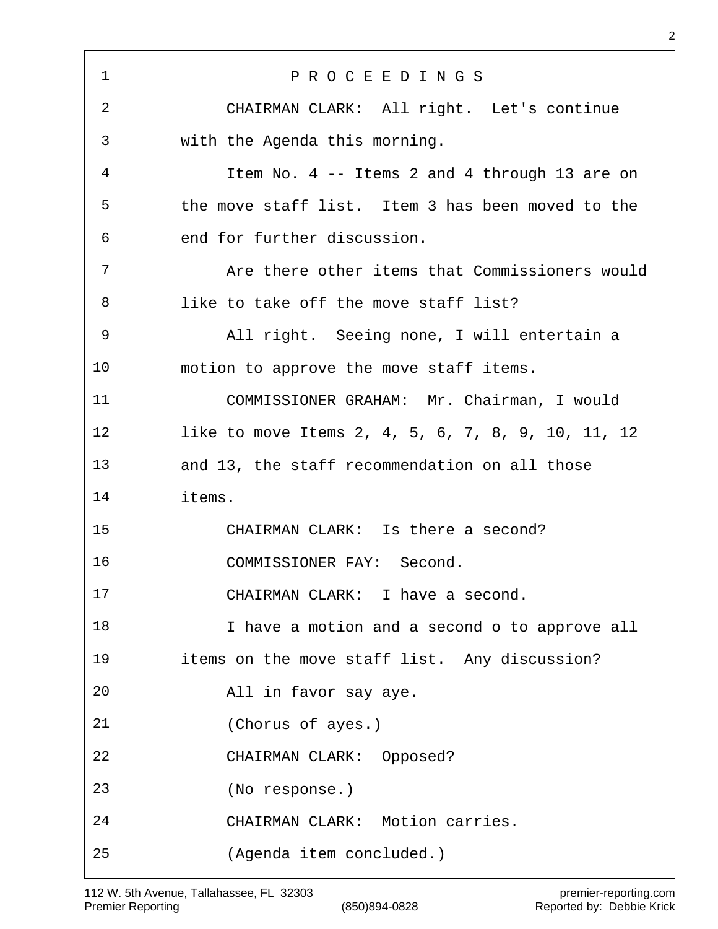P R O C E E D I N G S CHAIRMAN CLARK: All right. Let's continue with the Agenda this morning. Item No. 4 -- Items 2 and 4 through 13 are on the move staff list. Item 3 has been moved to the end for further discussion. Are there other items that Commissioners would like to take off the move staff list? All right. Seeing none, I will entertain a motion to approve the move staff items. COMMISSIONER GRAHAM: Mr. Chairman, I would like to move Items 2, 4, 5, 6, 7, 8, 9, 10, 11, 12 and 13, the staff recommendation on all those items. CHAIRMAN CLARK: Is there a second? COMMISSIONER FAY: Second. CHAIRMAN CLARK: I have a second. I have a motion and a second o to approve all items on the move staff list. Any discussion? All in favor say aye. (Chorus of ayes.) CHAIRMAN CLARK: Opposed? (No response.) CHAIRMAN CLARK: Motion carries. (Agenda item concluded.)